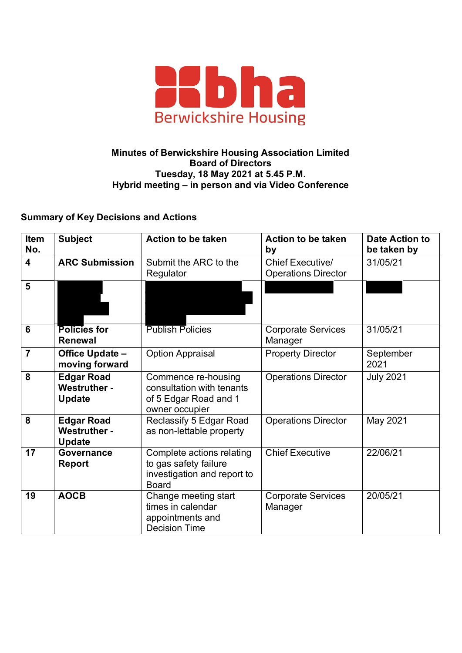

## **Minutes of Berwickshire Housing Association Limited Board of Directors Tuesday, 18 May 2021 at 5.45 P.M. Hybrid meeting – in person and via Video Conference**

## **Summary of Key Decisions and Actions**

| <b>Item</b><br>No.      | <b>Subject</b>                                            | <b>Action to be taken</b>                                                                         | <b>Action to be taken</b><br>by                       | <b>Date Action to</b><br>be taken by |
|-------------------------|-----------------------------------------------------------|---------------------------------------------------------------------------------------------------|-------------------------------------------------------|--------------------------------------|
| $\overline{\mathbf{4}}$ | <b>ARC Submission</b>                                     | Submit the ARC to the<br>Regulator                                                                | <b>Chief Executive/</b><br><b>Operations Director</b> | 31/05/21                             |
| 5                       |                                                           |                                                                                                   |                                                       |                                      |
| $6\phantom{1}6$         | <b>Policies for</b><br><b>Renewal</b>                     | <b>Publish Policies</b>                                                                           | <b>Corporate Services</b><br>Manager                  | 31/05/21                             |
| $\overline{7}$          | <b>Office Update -</b><br>moving forward                  | <b>Option Appraisal</b>                                                                           | <b>Property Director</b>                              | September<br>2021                    |
| 8                       | <b>Edgar Road</b><br><b>Westruther -</b><br><b>Update</b> | Commence re-housing<br>consultation with tenants<br>of 5 Edgar Road and 1<br>owner occupier       | <b>Operations Director</b>                            | <b>July 2021</b>                     |
| 8                       | <b>Edgar Road</b><br><b>Westruther -</b><br><b>Update</b> | Reclassify 5 Edgar Road<br>as non-lettable property                                               | <b>Operations Director</b>                            | May 2021                             |
| 17                      | <b>Governance</b><br><b>Report</b>                        | Complete actions relating<br>to gas safety failure<br>investigation and report to<br><b>Board</b> | <b>Chief Executive</b>                                | 22/06/21                             |
| 19                      | <b>AOCB</b>                                               | Change meeting start<br>times in calendar<br>appointments and<br><b>Decision Time</b>             | <b>Corporate Services</b><br>Manager                  | 20/05/21                             |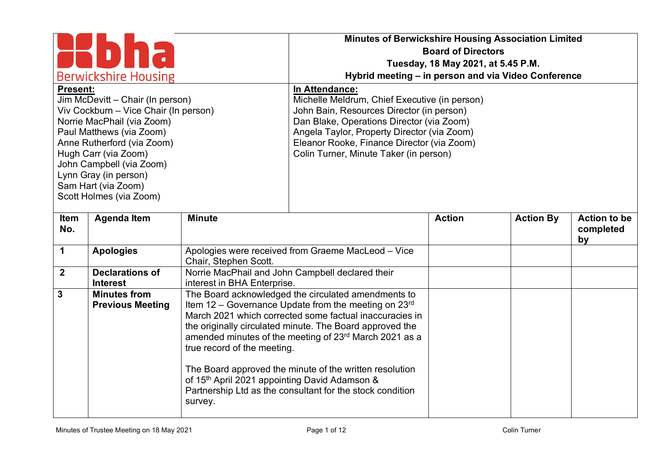| <b>Berwickshire Housing</b><br><b>Present:</b><br>Jim McDevitt - Chair (In person)<br>Viv Cockburn - Vice Chair (In person)<br>Norrie MacPhail (via Zoom)<br>Paul Matthews (via Zoom)<br>Anne Rutherford (via Zoom)<br>Hugh Carr (via Zoom)<br>John Campbell (via Zoom)<br>Lynn Gray (in person)<br>Sam Hart (via Zoom)<br>Scott Holmes (via Zoom) |                                                | <b>Minutes of Berwickshire Housing Association Limited</b><br>Hybrid meeting - in person and via Video Conference<br>In Attendance:<br>Michelle Meldrum, Chief Executive (in person)<br>John Bain, Resources Director (in person)<br>Dan Blake, Operations Director (via Zoom)<br>Angela Taylor, Property Director (via Zoom)<br>Eleanor Rooke, Finance Director (via Zoom)<br>Colin Turner, Minute Taker (in person) | <b>Board of Directors</b><br>Tuesday, 18 May 2021, at 5.45 P.M.                                                                                                                                                                                                                                                                                                                                                        |               |                  |                                        |
|----------------------------------------------------------------------------------------------------------------------------------------------------------------------------------------------------------------------------------------------------------------------------------------------------------------------------------------------------|------------------------------------------------|-----------------------------------------------------------------------------------------------------------------------------------------------------------------------------------------------------------------------------------------------------------------------------------------------------------------------------------------------------------------------------------------------------------------------|------------------------------------------------------------------------------------------------------------------------------------------------------------------------------------------------------------------------------------------------------------------------------------------------------------------------------------------------------------------------------------------------------------------------|---------------|------------------|----------------------------------------|
| Item<br>No.                                                                                                                                                                                                                                                                                                                                        | <b>Agenda Item</b>                             | <b>Minute</b>                                                                                                                                                                                                                                                                                                                                                                                                         |                                                                                                                                                                                                                                                                                                                                                                                                                        | <b>Action</b> | <b>Action By</b> | <b>Action to be</b><br>completed<br>by |
| $\mathbf 1$                                                                                                                                                                                                                                                                                                                                        | <b>Apologies</b>                               | Chair, Stephen Scott.                                                                                                                                                                                                                                                                                                                                                                                                 | Apologies were received from Graeme MacLeod - Vice                                                                                                                                                                                                                                                                                                                                                                     |               |                  |                                        |
| $\mathbf{2}$                                                                                                                                                                                                                                                                                                                                       | <b>Declarations of</b><br><b>Interest</b>      | interest in BHA Enterprise.                                                                                                                                                                                                                                                                                                                                                                                           | Norrie MacPhail and John Campbell declared their                                                                                                                                                                                                                                                                                                                                                                       |               |                  |                                        |
| 3                                                                                                                                                                                                                                                                                                                                                  | <b>Minutes from</b><br><b>Previous Meeting</b> | true record of the meeting.<br>of 15 <sup>th</sup> April 2021 appointing David Adamson &<br>survey.                                                                                                                                                                                                                                                                                                                   | The Board acknowledged the circulated amendments to<br>Item 12 – Governance Update from the meeting on $23rd$<br>March 2021 which corrected some factual inaccuracies in<br>the originally circulated minute. The Board approved the<br>amended minutes of the meeting of 23rd March 2021 as a<br>The Board approved the minute of the written resolution<br>Partnership Ltd as the consultant for the stock condition |               |                  |                                        |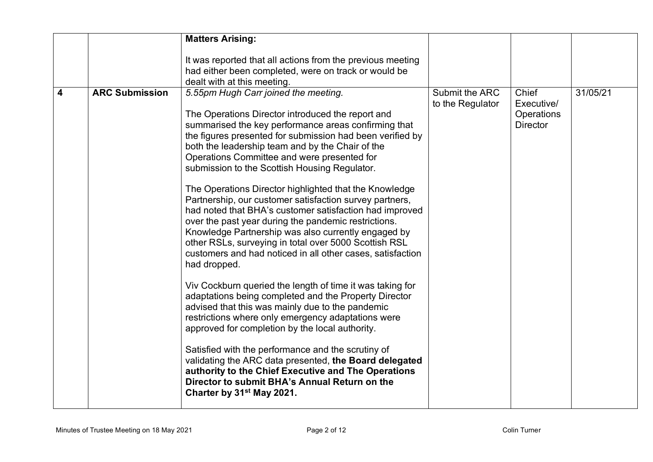|                         |                       | <b>Matters Arising:</b>                                                                                                                                                                                                                                                                                                                                                                                                                                                                                                                                                                                                                                                                                                                                                                                                                                                                                                                                                                                                                                                                                                                                                                                                                                                                                                                                      |                                    |                                                      |          |
|-------------------------|-----------------------|--------------------------------------------------------------------------------------------------------------------------------------------------------------------------------------------------------------------------------------------------------------------------------------------------------------------------------------------------------------------------------------------------------------------------------------------------------------------------------------------------------------------------------------------------------------------------------------------------------------------------------------------------------------------------------------------------------------------------------------------------------------------------------------------------------------------------------------------------------------------------------------------------------------------------------------------------------------------------------------------------------------------------------------------------------------------------------------------------------------------------------------------------------------------------------------------------------------------------------------------------------------------------------------------------------------------------------------------------------------|------------------------------------|------------------------------------------------------|----------|
|                         |                       | It was reported that all actions from the previous meeting<br>had either been completed, were on track or would be<br>dealt with at this meeting.                                                                                                                                                                                                                                                                                                                                                                                                                                                                                                                                                                                                                                                                                                                                                                                                                                                                                                                                                                                                                                                                                                                                                                                                            |                                    |                                                      |          |
| $\overline{\mathbf{4}}$ | <b>ARC Submission</b> | 5.55pm Hugh Carr joined the meeting.<br>The Operations Director introduced the report and<br>summarised the key performance areas confirming that<br>the figures presented for submission had been verified by<br>both the leadership team and by the Chair of the<br>Operations Committee and were presented for<br>submission to the Scottish Housing Regulator.<br>The Operations Director highlighted that the Knowledge<br>Partnership, our customer satisfaction survey partners,<br>had noted that BHA's customer satisfaction had improved<br>over the past year during the pandemic restrictions.<br>Knowledge Partnership was also currently engaged by<br>other RSLs, surveying in total over 5000 Scottish RSL<br>customers and had noticed in all other cases, satisfaction<br>had dropped.<br>Viv Cockburn queried the length of time it was taking for<br>adaptations being completed and the Property Director<br>advised that this was mainly due to the pandemic<br>restrictions where only emergency adaptations were<br>approved for completion by the local authority.<br>Satisfied with the performance and the scrutiny of<br>validating the ARC data presented, the Board delegated<br>authority to the Chief Executive and The Operations<br>Director to submit BHA's Annual Return on the<br>Charter by 31 <sup>st</sup> May 2021. | Submit the ARC<br>to the Regulator | Chief<br>Executive/<br>Operations<br><b>Director</b> | 31/05/21 |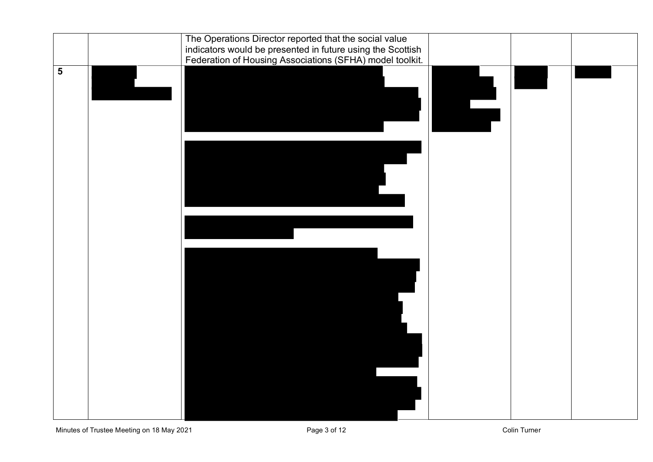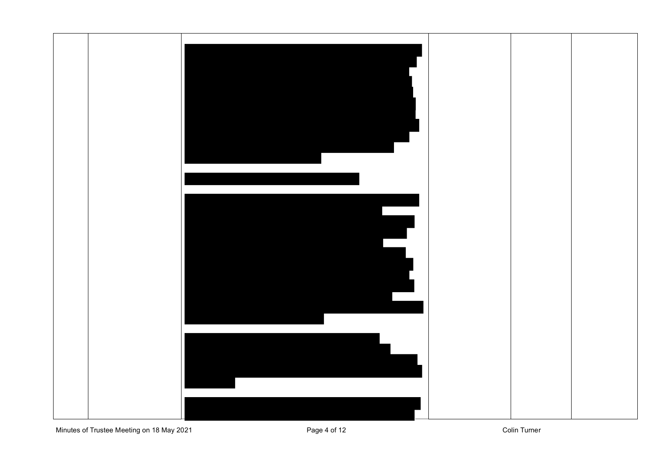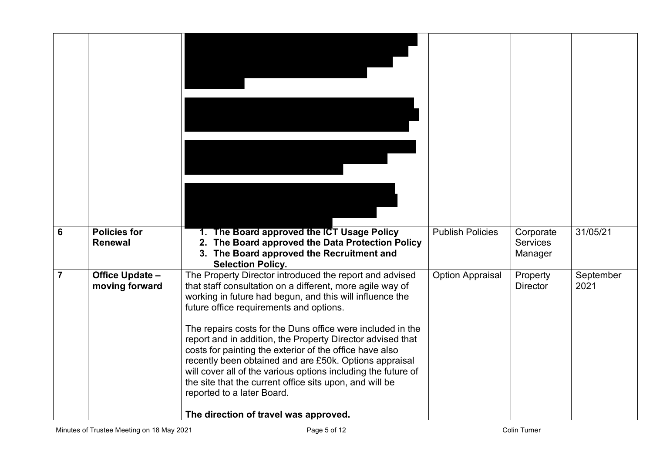| $6\phantom{1}6$ | <b>Policies for</b><br>Renewal    | 1. The Board approved the ICT Usage Policy<br>2. The Board approved the Data Protection Policy<br>3. The Board approved the Recruitment and<br><b>Selection Policy.</b>                                                                                                                                                                                                                                                                                                                                                                                                                                                                                                         | <b>Publish Policies</b> | Corporate<br><b>Services</b><br>Manager | 31/05/21          |
|-----------------|-----------------------------------|---------------------------------------------------------------------------------------------------------------------------------------------------------------------------------------------------------------------------------------------------------------------------------------------------------------------------------------------------------------------------------------------------------------------------------------------------------------------------------------------------------------------------------------------------------------------------------------------------------------------------------------------------------------------------------|-------------------------|-----------------------------------------|-------------------|
| $\overline{7}$  | Office Update -<br>moving forward | The Property Director introduced the report and advised<br>that staff consultation on a different, more agile way of<br>working in future had begun, and this will influence the<br>future office requirements and options.<br>The repairs costs for the Duns office were included in the<br>report and in addition, the Property Director advised that<br>costs for painting the exterior of the office have also<br>recently been obtained and are £50k. Options appraisal<br>will cover all of the various options including the future of<br>the site that the current office sits upon, and will be<br>reported to a later Board.<br>The direction of travel was approved. | <b>Option Appraisal</b> | Property<br><b>Director</b>             | September<br>2021 |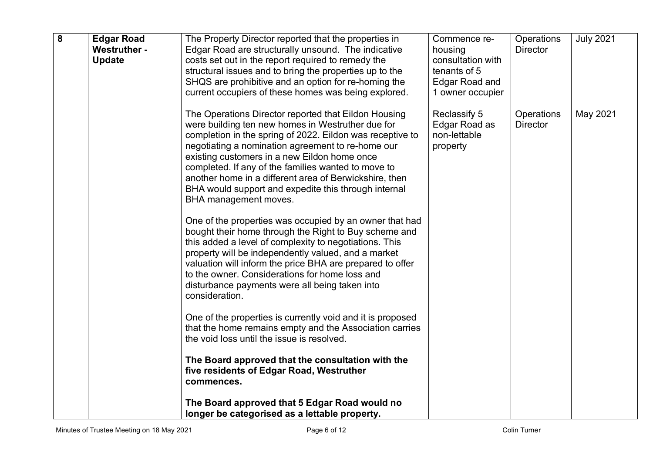| 8 | <b>Edgar Road</b><br><b>Westruther -</b><br><b>Update</b> | The Property Director reported that the properties in<br>Edgar Road are structurally unsound. The indicative<br>costs set out in the report required to remedy the<br>structural issues and to bring the properties up to the<br>SHQS are prohibitive and an option for re-homing the<br>current occupiers of these homes was being explored.                                                                                                                                                                                                                                                                                                                                                                                                                                                                                                                                                                                                                                                                                                                                                                                                                                               | Commence re-<br>housing<br>consultation with<br>tenants of 5<br>Edgar Road and<br>1 owner occupier | Operations<br><b>Director</b> | <b>July 2021</b> |
|---|-----------------------------------------------------------|---------------------------------------------------------------------------------------------------------------------------------------------------------------------------------------------------------------------------------------------------------------------------------------------------------------------------------------------------------------------------------------------------------------------------------------------------------------------------------------------------------------------------------------------------------------------------------------------------------------------------------------------------------------------------------------------------------------------------------------------------------------------------------------------------------------------------------------------------------------------------------------------------------------------------------------------------------------------------------------------------------------------------------------------------------------------------------------------------------------------------------------------------------------------------------------------|----------------------------------------------------------------------------------------------------|-------------------------------|------------------|
|   |                                                           | The Operations Director reported that Eildon Housing<br>were building ten new homes in Westruther due for<br>completion in the spring of 2022. Eildon was receptive to<br>negotiating a nomination agreement to re-home our<br>existing customers in a new Eildon home once<br>completed. If any of the families wanted to move to<br>another home in a different area of Berwickshire, then<br>BHA would support and expedite this through internal<br>BHA management moves.<br>One of the properties was occupied by an owner that had<br>bought their home through the Right to Buy scheme and<br>this added a level of complexity to negotiations. This<br>property will be independently valued, and a market<br>valuation will inform the price BHA are prepared to offer<br>to the owner. Considerations for home loss and<br>disturbance payments were all being taken into<br>consideration.<br>One of the properties is currently void and it is proposed<br>that the home remains empty and the Association carries<br>the void loss until the issue is resolved.<br>The Board approved that the consultation with the<br>five residents of Edgar Road, Westruther<br>commences. | Reclassify 5<br>Edgar Road as<br>non-lettable<br>property                                          | Operations<br><b>Director</b> | May 2021         |
|   |                                                           | The Board approved that 5 Edgar Road would no<br>longer be categorised as a lettable property.                                                                                                                                                                                                                                                                                                                                                                                                                                                                                                                                                                                                                                                                                                                                                                                                                                                                                                                                                                                                                                                                                              |                                                                                                    |                               |                  |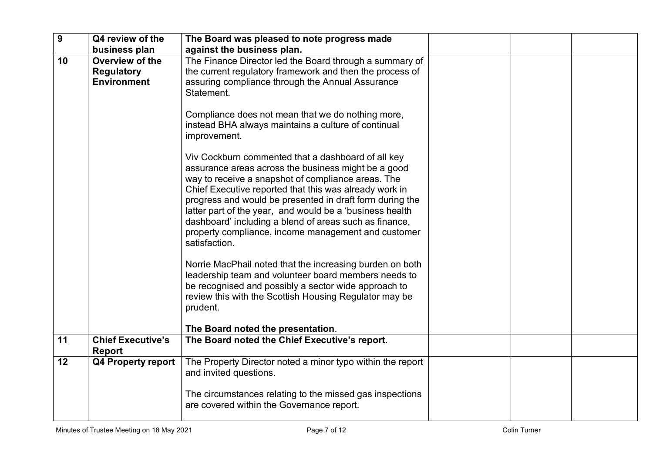| $\boldsymbol{9}$ | Q4 review of the                                           | The Board was pleased to note progress made                                                                                                                                                                                                                                                                                                                                                                                                                                         |  |
|------------------|------------------------------------------------------------|-------------------------------------------------------------------------------------------------------------------------------------------------------------------------------------------------------------------------------------------------------------------------------------------------------------------------------------------------------------------------------------------------------------------------------------------------------------------------------------|--|
|                  | business plan                                              | against the business plan.                                                                                                                                                                                                                                                                                                                                                                                                                                                          |  |
| 10               | Overview of the<br><b>Regulatory</b><br><b>Environment</b> | The Finance Director led the Board through a summary of<br>the current regulatory framework and then the process of<br>assuring compliance through the Annual Assurance<br>Statement.                                                                                                                                                                                                                                                                                               |  |
|                  |                                                            | Compliance does not mean that we do nothing more,<br>instead BHA always maintains a culture of continual<br>improvement.                                                                                                                                                                                                                                                                                                                                                            |  |
|                  |                                                            | Viv Cockburn commented that a dashboard of all key<br>assurance areas across the business might be a good<br>way to receive a snapshot of compliance areas. The<br>Chief Executive reported that this was already work in<br>progress and would be presented in draft form during the<br>latter part of the year, and would be a 'business health<br>dashboard' including a blend of areas such as finance,<br>property compliance, income management and customer<br>satisfaction. |  |
|                  |                                                            | Norrie MacPhail noted that the increasing burden on both<br>leadership team and volunteer board members needs to<br>be recognised and possibly a sector wide approach to<br>review this with the Scottish Housing Regulator may be<br>prudent.<br>The Board noted the presentation.                                                                                                                                                                                                 |  |
| 11               | <b>Chief Executive's</b>                                   | The Board noted the Chief Executive's report.                                                                                                                                                                                                                                                                                                                                                                                                                                       |  |
|                  | <b>Report</b>                                              |                                                                                                                                                                                                                                                                                                                                                                                                                                                                                     |  |
| 12               | <b>Q4 Property report</b>                                  | The Property Director noted a minor typo within the report<br>and invited questions.                                                                                                                                                                                                                                                                                                                                                                                                |  |
|                  |                                                            | The circumstances relating to the missed gas inspections<br>are covered within the Governance report.                                                                                                                                                                                                                                                                                                                                                                               |  |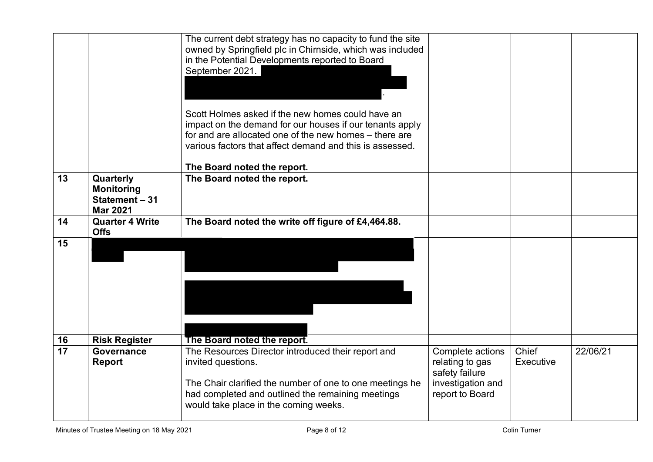|    |                                                                   | The current debt strategy has no capacity to fund the site<br>owned by Springfield plc in Chirnside, which was included<br>in the Potential Developments reported to Board<br>September 2021.<br>Scott Holmes asked if the new homes could have an<br>impact on the demand for our houses if our tenants apply<br>for and are allocated one of the new homes – there are<br>various factors that affect demand and this is assessed. |                                                                                               |                    |          |
|----|-------------------------------------------------------------------|--------------------------------------------------------------------------------------------------------------------------------------------------------------------------------------------------------------------------------------------------------------------------------------------------------------------------------------------------------------------------------------------------------------------------------------|-----------------------------------------------------------------------------------------------|--------------------|----------|
|    |                                                                   | The Board noted the report.                                                                                                                                                                                                                                                                                                                                                                                                          |                                                                                               |                    |          |
| 13 | Quarterly<br><b>Monitoring</b><br>Statement-31<br><b>Mar 2021</b> | The Board noted the report.                                                                                                                                                                                                                                                                                                                                                                                                          |                                                                                               |                    |          |
| 14 | <b>Quarter 4 Write</b><br><b>Offs</b>                             | The Board noted the write off figure of £4,464.88.                                                                                                                                                                                                                                                                                                                                                                                   |                                                                                               |                    |          |
| 15 |                                                                   |                                                                                                                                                                                                                                                                                                                                                                                                                                      |                                                                                               |                    |          |
| 16 | <b>Risk Register</b>                                              | The Board noted the report.                                                                                                                                                                                                                                                                                                                                                                                                          |                                                                                               |                    |          |
| 17 | <b>Governance</b><br><b>Report</b>                                | The Resources Director introduced their report and<br>invited questions.<br>The Chair clarified the number of one to one meetings he<br>had completed and outlined the remaining meetings<br>would take place in the coming weeks.                                                                                                                                                                                                   | Complete actions<br>relating to gas<br>safety failure<br>investigation and<br>report to Board | Chief<br>Executive | 22/06/21 |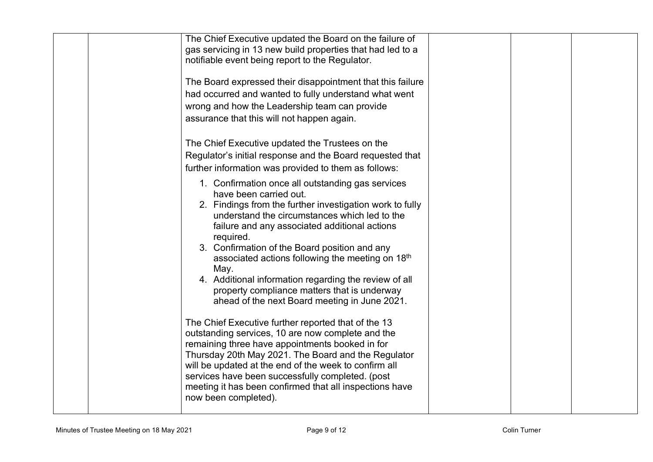| The Chief Executive updated the Board on the failure of<br>gas servicing in 13 new build properties that had led to a<br>notifiable event being report to the Regulator.<br>The Board expressed their disappointment that this failure<br>had occurred and wanted to fully understand what went<br>wrong and how the Leadership team can provide                                                                                                                                                                              |
|-------------------------------------------------------------------------------------------------------------------------------------------------------------------------------------------------------------------------------------------------------------------------------------------------------------------------------------------------------------------------------------------------------------------------------------------------------------------------------------------------------------------------------|
| assurance that this will not happen again.                                                                                                                                                                                                                                                                                                                                                                                                                                                                                    |
| The Chief Executive updated the Trustees on the<br>Regulator's initial response and the Board requested that<br>further information was provided to them as follows:                                                                                                                                                                                                                                                                                                                                                          |
| 1. Confirmation once all outstanding gas services<br>have been carried out.<br>2. Findings from the further investigation work to fully<br>understand the circumstances which led to the<br>failure and any associated additional actions<br>required.<br>3. Confirmation of the Board position and any<br>associated actions following the meeting on 18th<br>May.<br>4. Additional information regarding the review of all<br>property compliance matters that is underway<br>ahead of the next Board meeting in June 2021. |
| The Chief Executive further reported that of the 13<br>outstanding services, 10 are now complete and the<br>remaining three have appointments booked in for<br>Thursday 20th May 2021. The Board and the Regulator<br>will be updated at the end of the week to confirm all<br>services have been successfully completed. (post<br>meeting it has been confirmed that all inspections have<br>now been completed).                                                                                                            |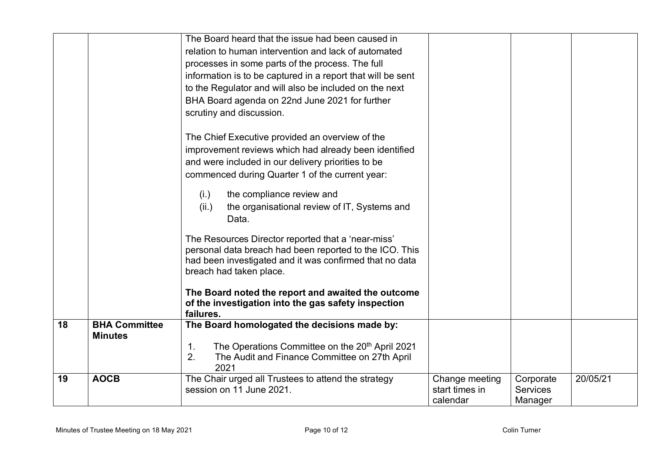|    |                                        | The Board heard that the issue had been caused in                                                             |                                  |                              |          |
|----|----------------------------------------|---------------------------------------------------------------------------------------------------------------|----------------------------------|------------------------------|----------|
|    |                                        | relation to human intervention and lack of automated                                                          |                                  |                              |          |
|    |                                        | processes in some parts of the process. The full                                                              |                                  |                              |          |
|    |                                        | information is to be captured in a report that will be sent                                                   |                                  |                              |          |
|    |                                        | to the Regulator and will also be included on the next                                                        |                                  |                              |          |
|    |                                        | BHA Board agenda on 22nd June 2021 for further                                                                |                                  |                              |          |
|    |                                        | scrutiny and discussion.                                                                                      |                                  |                              |          |
|    |                                        | The Chief Executive provided an overview of the                                                               |                                  |                              |          |
|    |                                        | improvement reviews which had already been identified                                                         |                                  |                              |          |
|    |                                        | and were included in our delivery priorities to be                                                            |                                  |                              |          |
|    |                                        | commenced during Quarter 1 of the current year:                                                               |                                  |                              |          |
|    |                                        | the compliance review and                                                                                     |                                  |                              |          |
|    |                                        | (i.)<br>the organisational review of IT, Systems and<br>(ii.)                                                 |                                  |                              |          |
|    |                                        | Data.                                                                                                         |                                  |                              |          |
|    |                                        | The Resources Director reported that a 'near-miss'<br>personal data breach had been reported to the ICO. This |                                  |                              |          |
|    |                                        | had been investigated and it was confirmed that no data<br>breach had taken place.                            |                                  |                              |          |
|    |                                        | The Board noted the report and awaited the outcome                                                            |                                  |                              |          |
|    |                                        | of the investigation into the gas safety inspection                                                           |                                  |                              |          |
|    |                                        | failures.                                                                                                     |                                  |                              |          |
| 18 | <b>BHA Committee</b><br><b>Minutes</b> | The Board homologated the decisions made by:                                                                  |                                  |                              |          |
|    |                                        | 1.<br>The Operations Committee on the 20 <sup>th</sup> April 2021                                             |                                  |                              |          |
|    |                                        | 2.<br>The Audit and Finance Committee on 27th April                                                           |                                  |                              |          |
| 19 | <b>AOCB</b>                            | 2021                                                                                                          |                                  |                              | 20/05/21 |
|    |                                        | The Chair urged all Trustees to attend the strategy<br>session on 11 June 2021.                               | Change meeting<br>start times in | Corporate<br><b>Services</b> |          |
|    |                                        |                                                                                                               | calendar                         | Manager                      |          |